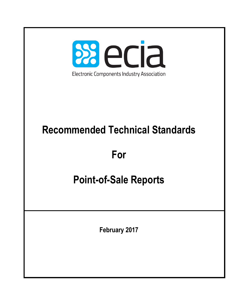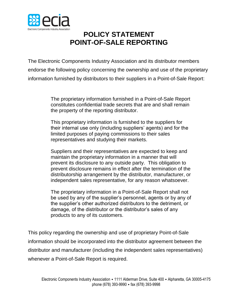

# **POLICY STATEMENT POINT-OF-SALE REPORTING**

The Electronic Components Industry Association and its distributor members endorse the following policy concerning the ownership and use of the proprietary information furnished by distributors to their suppliers in a Point-of-Sale Report:

> The proprietary information furnished in a Point-of-Sale Report constitutes confidential trade secrets that are and shall remain the property of the reporting distributor.

This proprietary information is furnished to the suppliers for their internal use only (including suppliers' agents) and for the limited purposes of paying commissions to their sales representatives and studying their markets.

Suppliers and their representatives are expected to keep and maintain the proprietary information in a manner that will prevent its disclosure to any outside party. This obligation to prevent disclosure remains in effect after the termination of the distributorship arrangement by the distributor, manufacturer, or independent sales representative, for any reason whatsoever.

The proprietary information in a Point-of-Sale Report shall not be used by any of the supplier's personnel, agents or by any of the supplier's other authorized distributors to the detriment, or damage, of the distributor or the distributor's sales of any products to any of its customers.

This policy regarding the ownership and use of proprietary Point-of-Sale information should be incorporated into the distributor agreement between the distributor and manufacturer (including the independent sales representatives) whenever a Point-of-Sale Report is required.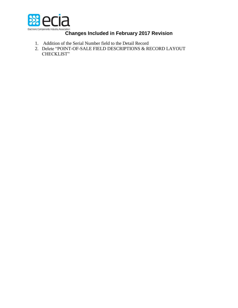

# Electronic Components Industry Association<br>**Changes Included in February 2017 Revision**

- 1. Addition of the Serial Number field to the Detail Record
- 2. Delete "POINT-OF-SALE FIELD DESCRIPTIONS & RECORD LAYOUT CHECKLIST"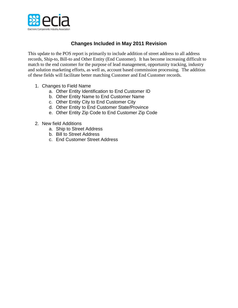

## **Changes Included in May 2011 Revision**

This update to the POS report is primarily to include addition of street address to all address records, Ship-to, Bill-to and Other Entity (End Customer). It has become increasing difficult to match to the end customer for the purpose of lead management, opportunity tracking, industry and solution marketing efforts, as well as, account based commission processing. The addition of these fields will facilitate better matching Customer and End Customer records.

- 1. Changes to Field Name
	- a. Other Entity Identification to End Customer ID
	- b. Other Entity Name to End Customer Name
	- c. Other Entity City to End Customer City
	- d. Other Entity to End Customer State/Province
	- e. Other Entity Zip Code to End Customer Zip Code
- 2. New field Additions
	- a. Ship to Street Address
	- b. Bill to Street Address
	- c. End Customer Street Address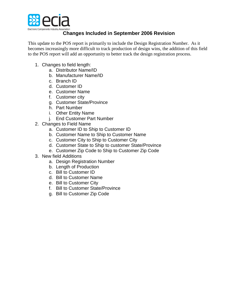

# **Changes Included in September 2006 Revision**

This update to the POS report is primarily to include the Design Registration Number. As it becomes increasingly more difficult to track production of design wins, the addition of this field to the POS report will add an opportunity to better track the design registration process.

- 1. Changes to field length:
	- a. Distributor Name/ID
	- b. Manufacturer Name/ID
	- c. Branch ID
	- d. Customer ID
	- e. Customer Name
	- f. Customer city
	- g. Customer State/Province
	- h. Part Number
	- i. Other Entity Name
	- j. End Customer Part Number
- 2. Changes to Field Name
	- a. Customer ID to Ship to Customer ID
	- b. Customer Name to Ship to Customer Name
	- c. Customer City to Ship to Customer City
	- d. Customer State to Ship to customer State/Province
	- e. Customer Zip Code to Ship to Customer Zip Code
- 3. New field Additions
	- a. Design Registration Number
	- b. Length of Production
	- c. Bill to Customer ID
	- d. Bill to Customer Name
	- e. Bill to Customer City
	- f. Bill to Customer State/Province
	- g. Bill to Customer Zip Code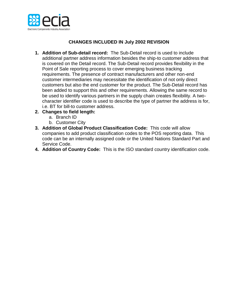

### **CHANGES INCLUDED IN July 2002 REVISION**

- **1. Addition of Sub-detail record:** The Sub-Detail record is used to include additional partner address information besides the ship-to customer address that is covered on the Detail record. The Sub-Detail record provides flexibility in the Point of Sale reporting process to cover emerging business tracking requirements. The presence of contract manufacturers and other non-end customer intermediaries may necessitate the identification of not only direct customers but also the end customer for the product. The Sub-Detail record has been added to support this and other requirements. Allowing the same record to be used to identify various partners in the supply chain creates flexibility. A twocharacter identifier code is used to describe the type of partner the address is for, i.e. BT for bill-to customer address.
- **2. Changes to field length:**
	- a. Branch ID
	- b. Customer City
- **3. Addition of Global Product Classification Code:** This code will allow companies to add product classification codes to the POS reporting data. This code can be an internally assigned code or the United Nations Standard Part and Service Code.
- **4. Addition of Country Code:** This is the ISO standard country identification code.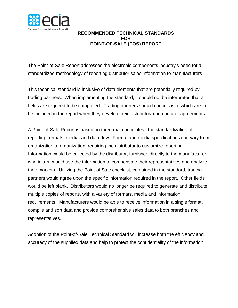

#### **RECOMMENDED TECHNICAL STANDARDS FOR POINT-OF-SALE (POS) REPORT**

The Point-of-Sale Report addresses the electronic components industry's need for a standardized methodology of reporting distributor sales information to manufacturers.

This technical standard is inclusive of data elements that are potentially required by trading partners. When implementing the standard, it should not be interpreted that all fields are required to be completed. Trading partners should concur as to which are to be included in the report when they develop their distributor/manufacturer agreements.

A Point-of-Sale Report is based on three main principles: the standardization of reporting formats, media, and data flow. Format and media specifications can vary from organization to organization, requiring the distributor to customize reporting. Information would be collected by the distributor, furnished directly to the manufacturer, who in turn would use the information to compensate their representatives and analyze their markets. Utilizing the Point-of Sale checklist, contained in the standard, trading partners would agree upon the specific information required in the report. Other fields would be left blank. Distributors would no longer be required to generate and distribute multiple copies of reports, with a variety of formats, media and information requirements. Manufacturers would be able to receive information in a single format, compile and sort data and provide comprehensive sales data to both branches and representatives.

Adoption of the Point-of-Sale Technical Standard will increase both the efficiency and accuracy of the supplied data and help to protect the confidentiality of the information.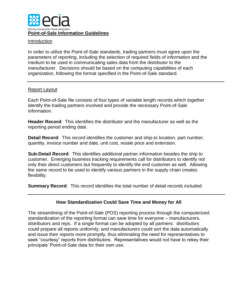

#### Introduction

In order to utilize the Point-of-Sale standards, trading partners must agree upon the parameters of reporting, including the selection of required fields of information and the medium to be used in communicating sales data from the distributor to the manufacturer. Decisions should be based on the computing capabilities of each organization, following the format specified in the Point-of-Sale standard.

#### Report Layout

Each Point-of-Sale file consists of four types of variable length records which together identify the trading partners involved and provide the necessary Point-of-Sale information.

**Header Record**: This identifies the distributor and the manufacturer as well as the reporting period ending date.

**Detail Record**: This record identifies the customer and ship-to location, part number, quantity, invoice number and date, unit cost, resale price and extension.

**Sub-Detail Record**: This identifies additional partner information besides the ship to customer. Emerging business tracking requirements call for distributors to identify not only their direct customers but frequently to identify the end customer as well. Allowing the same record to be used to identify various partners in the supply chain creates flexibility.

**Summary Record**: This record identifies the total number of detail records included.

#### **How Standardization Could Save Time and Money for All**

The streamlining of the Point-of-Sale (POS) reporting process through the computerized standardization of the reporting format can save time for everyone – manufacturers, distributors and reps. If a single format can be adopted by all partners: distributors could prepare all reports uniformly; and manufacturers could sort the data automatically and issue their reports more promptly, thus eliminating the need for representatives to seek "courtesy" reports from distributors. Representatives would not have to rekey their principals' Point-of-Sale data for their own use.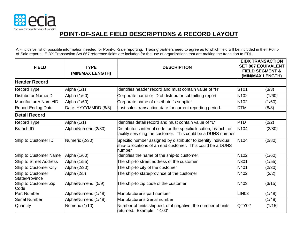

# **POINT-OF-SALE FIELD DESCRIPTIONS & RECORD LAYOUT**

All-inclusive list of possible information needed for Point-of-Sale reporting. Trading partners need to agree as to which field will be included in their Pointof-Sale reports. EIDX Transaction Set 867 reference fields are included for the use of organizations that are making the transition to EDI.

| <b>FIELD</b>                              | <b>TYPE</b><br>(MIN/MAX LENGTH) | <b>DESCRIPTION</b>                                                                                                                     | <b>EIDX TRANSACTION</b><br><b>SET 867 EQUIVALENT</b><br><b>FIELD SEGMENT &amp;</b><br>(MIN/MAX LENGTH) |        |
|-------------------------------------------|---------------------------------|----------------------------------------------------------------------------------------------------------------------------------------|--------------------------------------------------------------------------------------------------------|--------|
| <b>Header Record</b>                      |                                 |                                                                                                                                        |                                                                                                        |        |
| Record Type                               | Alpha (1/1)                     | Identifies header record and must contain value of "H"                                                                                 | <b>ST01</b>                                                                                            | (3/3)  |
| Distributor Name/ID                       | Alpha (1/60)                    | Corporate name or ID of distributor submitting report                                                                                  | N <sub>102</sub>                                                                                       | (1/60) |
| Manufacturer Name/ID                      | Alpha (1/60)                    | Corporate name of distributor's supplier                                                                                               | N102                                                                                                   | (1/60) |
| <b>Report Ending Date</b>                 | Date: YYYYMMDD (8/8)            | Last sales transaction date for current reporting period.                                                                              | <b>DTM</b>                                                                                             | (8/8)  |
| <b>Detail Record</b>                      |                                 |                                                                                                                                        |                                                                                                        |        |
| Record Type                               | Alpha (1/1)                     | Identifies detail record and must contain value of "L"                                                                                 | <b>PTD</b>                                                                                             | (2/2)  |
| <b>Branch ID</b>                          | Alpha/Numeric (2/30)            | Distributor's internal code for the specific location, branch, or<br>facility servicing the customer. This could be a DUNS number      | N <sub>104</sub>                                                                                       | (2/80) |
| Ship to Customer ID                       | Numeric (2/30)                  | Specific number assigned by distributor to identify individual<br>ship-to locations of an end customer. This could be a DUNS<br>number | N <sub>104</sub>                                                                                       | (2/80) |
| Ship to Customer Name                     | Alpha (1/60)                    | dentifies the name of the ship-to customer                                                                                             | N <sub>102</sub>                                                                                       | (1/60) |
| Ship to Street Address                    | Alpha (1/55)                    | The ship-to street address of the customer                                                                                             | N301                                                                                                   | (1/55) |
| Ship to Customer City                     | Alpha (2/30)                    | The ship-to city of the customer                                                                                                       | N401                                                                                                   | (2/30) |
| Ship to Customer<br><b>State/Province</b> | Alpha (2/5)                     | The ship-to state/province of the customer                                                                                             | N402                                                                                                   | (2/2)  |
| Ship to Customer Zip<br>Code              | Alpha/Numeric (5/9)             | The ship-to zip code of the customer                                                                                                   | N403                                                                                                   | (3/15) |
| <b>Part Number</b>                        | Alpha/Numeric (1/48)            | Manufacturer's part number                                                                                                             | LIN <sub>03</sub>                                                                                      | (1/48) |
| <b>Serial Number</b>                      | Alpha/Numeric (1/48)            | Manufacturer's Serial number                                                                                                           |                                                                                                        | (1/48) |
| Quantity                                  | Numeric (1/10)                  | Number of units shipped, or if negative, the number of units<br>returned. Example: "-100"                                              | QTY02                                                                                                  | (1/15) |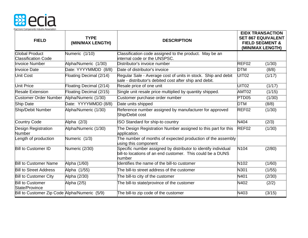

| <b>FIELD</b>                                        | <b>TYPE</b><br>(MIN/MAX LENGTH) | <b>DESCRIPTION</b>                                                                                                                     |                   | <b>EIDX TRANSACTION</b><br><b>SET 867 EQUIVALENT</b><br><b>FIELD SEGMENT &amp;</b><br>(MIN/MAX LENGTH) |
|-----------------------------------------------------|---------------------------------|----------------------------------------------------------------------------------------------------------------------------------------|-------------------|--------------------------------------------------------------------------------------------------------|
| <b>Global Product</b>                               | Numeric (1/10)                  | Classification code assigned to the product. May be an                                                                                 |                   |                                                                                                        |
| <b>Classification Code</b><br><b>Invoice Number</b> | Alpha/Numeric (1/30)            | internal code or the UNSPSC.<br>Distributor's invoice number                                                                           | REF02             | (1/30)                                                                                                 |
| <b>Invoice Date</b>                                 | Date: YYYYMMDD (8/8)            | Date of distributor's invoice                                                                                                          | <b>DTM</b>        |                                                                                                        |
|                                                     |                                 |                                                                                                                                        |                   | (8/8)                                                                                                  |
| <b>Unit Cost</b>                                    | Floating Decimal (2/14)         | Regular Sale - Average cost of units in stock. Ship and debit<br>sale - distributor's debited cost after ship and debit.               | UIT <sub>02</sub> | (1/17)                                                                                                 |
| <b>Unit Price</b>                                   | Floating Decimal (2/14)         | Resale price of one unit                                                                                                               | <b>UIT02</b>      | (1/17)                                                                                                 |
| <b>Resale Extension</b>                             | Floating Decimal (2/15)         | Single unit resale price multiplied by quantity shipped.                                                                               | AMT02             | (1/15)                                                                                                 |
| <b>Customer Order Number</b>                        | Alpha/Numeric (1/30)            | Customer purchase order number                                                                                                         | PTD <sub>05</sub> | (1/30)                                                                                                 |
| <b>Ship Date</b>                                    | Date: YYYYMMDD (8/8)            | Date units shipped                                                                                                                     | <b>DTM</b>        | (8/8)                                                                                                  |
| Ship/Debit Number                                   | Alpha/Numeric (1/30)            | Reference number assigned by manufacturer for approved<br>Ship/Debit cost                                                              | REF02             | (1/30)                                                                                                 |
| <b>Country Code</b>                                 | Alpha (2/3)                     | ISO Standard for ship-to country                                                                                                       | N404              | (2/3)                                                                                                  |
| Design Registration<br>Number                       | Alpha/Numeric (1/30)            | The Design Registration Number assigned to this part for this<br>application.                                                          | REF02             | (1/30)                                                                                                 |
| Length of production                                | Numeric (1/3)                   | The number of months of expected production of the assembly<br>using this component                                                    |                   |                                                                                                        |
| <b>Bill to Customer ID</b>                          | Numeric (2/30)                  | Specific number assigned by distributor to identify individual<br>bill-to locations of an end customer. This could be a DUNS<br>number | N104              | (2/80)                                                                                                 |
| <b>Bill to Customer Name</b>                        | Alpha (1/60)                    | Identifies the name of the bill-to customer                                                                                            | N <sub>102</sub>  | (1/60)                                                                                                 |
| <b>Bill to Street Address</b>                       | Alpha (1/55)                    | The bill-to street address of the customer                                                                                             | N301              | (1/55)                                                                                                 |
| <b>Bill to Customer City</b>                        | Alpha (2/30)                    | The bill-to city of the customer                                                                                                       | N401              | (2/30)                                                                                                 |
| <b>Bill to Customer</b><br>State/Province           | Alpha (2/5)                     | The bill-to state/province of the customer                                                                                             | N402              | (2/2)                                                                                                  |
| Bill to Customer Zip Code Alpha/Numeric (5/9)       |                                 | The bill-to zip code of the customer                                                                                                   | N403              | (3/15)                                                                                                 |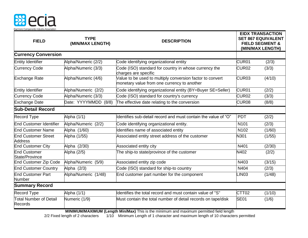

| <b>FIELD</b>                                 | <b>TYPE</b><br>(MIN/MAX LENGTH) | <b>DESCRIPTION</b>                                                                                       |                   | <b>EIDX TRANSACTION</b><br><b>SET 867 EQUIVALENT</b><br><b>FIELD SEGMENT &amp;</b><br>(MIN/MAX LENGTH) |  |
|----------------------------------------------|---------------------------------|----------------------------------------------------------------------------------------------------------|-------------------|--------------------------------------------------------------------------------------------------------|--|
| <b>Currency Conversion</b>                   |                                 |                                                                                                          |                   |                                                                                                        |  |
| Entity Identifier                            | Alpha/Numeric (2/2)             | Code identifying organizational entity                                                                   | CUR01             | (2/3)                                                                                                  |  |
| <b>Currency Code</b>                         | Alpha/Numeric (3/3)             | Code (ISO) standard for country in whose currency the<br>charges are specific                            | CUR <sub>02</sub> | (3/3)                                                                                                  |  |
| <b>Exchange Rate</b>                         | Alpha/Numeric (4/6)             | Value to be used to multiply conversion factor to convert<br>monetary value from one currency to another | CUR <sub>03</sub> | (4/10)                                                                                                 |  |
| Entity Identifier                            | Alpha/Numeric (2/2)             | Code identifying organizational entity (BY=Buyer SE=Seller)                                              | CUR <sub>01</sub> | (2/2)                                                                                                  |  |
| <b>Currency Code</b>                         | Alpha/Numeric (3/3)             | Code (ISO) standard for country's currency                                                               | CUR <sub>02</sub> | (3/3)                                                                                                  |  |
| <b>Exchange Date</b>                         | Date: YYYYMMDD (8/8)            | The effective date relating to the conversion                                                            | CUR <sub>08</sub> | (8/8)                                                                                                  |  |
| <b>Sub-Detail Record</b>                     |                                 |                                                                                                          |                   |                                                                                                        |  |
| <b>Record Type</b>                           | Alpha (1/1)                     | ldentifies sub-detail record and must contain the value of "O"                                           | <b>PDT</b>        | (2/2)                                                                                                  |  |
| End Customer Identifier                      | Alpha/Numeric (2/2)             | Code identifying organizational entity.                                                                  | N <sub>101</sub>  | (2/3)                                                                                                  |  |
| <b>End Customer Name</b>                     | Alpha (1/60)                    | Identifies name of associated entity                                                                     | N <sub>102</sub>  | (1/60)                                                                                                 |  |
| <b>End Customer Street</b><br><b>Address</b> | Alpha (1/55)                    | Associated entity street address of the customer                                                         | N301              | (1/55)                                                                                                 |  |
| <b>End Customer City</b>                     | Alpha (2/30)                    | Associated entity city                                                                                   | N401              | (2/30)                                                                                                 |  |
| End Customer<br>State/Province               | Alpha (2/5)                     | The ship-to state/province of the customer                                                               | <b>N402</b>       | (2/2)                                                                                                  |  |
| <b>End Customer Zip Code</b>                 | Alpha/Numeric (5/9)             | Associated entity zip code                                                                               | N403              | (3/15)                                                                                                 |  |
| <b>End Customer Country</b>                  | Alpha (2/3)                     | Code (ISO) standard for ship-to country                                                                  | N404              | (2/3)                                                                                                  |  |
| <b>End Customer Part</b><br><b>Number</b>    | Alpha/Numeric (1/48)            | End customer part number for the component                                                               | LINO3             | (1/48)                                                                                                 |  |
| <b>Summary Record</b>                        |                                 |                                                                                                          |                   |                                                                                                        |  |
| Record Type                                  | Alpha (1/1)                     | Identifies the total record and must contain value of "S"                                                | CTT <sub>02</sub> | (1/10)                                                                                                 |  |
| Total Number of Detail<br>Records            | Numeric (1/9)                   | Must contain the total number of detail records on tape/disk                                             | SE <sub>01</sub>  | (1/6)                                                                                                  |  |

**MINIMUM/MAXIMUM (Length Min/Max)** This is the minimum and maximum permitted field length

2/2 Fixed length of 2 characters 1/10 Minimum Length of 1 character and maximum length of 10 characters permitted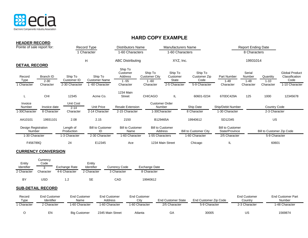

**HEADER RECORD**

## **HARD COPY EXAMPLE**

| שטושטשות ומבאשות<br>Pointe of sale report for: |              |                         | Record Type                   | <b>Distributors Name</b>        |                       | <b>Manufacturers Name</b>          |                              |                                           | <b>Report Ending Date</b> |                           |                       |
|------------------------------------------------|--------------|-------------------------|-------------------------------|---------------------------------|-----------------------|------------------------------------|------------------------------|-------------------------------------------|---------------------------|---------------------------|-----------------------|
|                                                |              |                         | 1 Character                   | 1-60 Characters                 |                       | 1-60 Characters                    |                              |                                           | 8 Characters              |                           |                       |
|                                                |              |                         | H                             | <b>ABC Distributing</b>         |                       | XYZ, Inc.                          |                              |                                           | 19931014                  |                           |                       |
| <b>DETAIL RECORD</b>                           |              |                         |                               | Ship To<br>Customer             | Ship To               | Ship To                            | Ship To                      |                                           | Serial                    |                           | <b>Global Product</b> |
| Record                                         | Branch ID    | Ship To                 | Ship To                       | Address                         | Customer City         | Customer                           | Customer Zip                 | Part Number                               | Number                    | Quantity                  | Classification        |
| Type                                           | $2 - 30$     | Customer ID             | <b>Customer Name</b>          | $1 - 55$                        | $1 - 60$              | State                              | Code                         | $1 - 48$                                  | $1 - 48$                  | $1 - 10$                  | Code                  |
| 1 Character                                    | Character    | 2-30 Character          | 1-60 Character                | Character                       | Character             | 2-5 Character                      | 5-9 Character                | Character                                 | Character                 | Character                 | 1-10 Character        |
|                                                | <b>CHI</b>   | 12345                   | Acme Co.                      | 1234 Main<br><b>Street</b>      | <b>CHICAGO</b>        | IL                                 | 60601-0234                   | 670DC429A                                 | 125                       | 1000                      | 12345678              |
| L                                              |              |                         |                               |                                 |                       |                                    |                              |                                           |                           |                           |                       |
| Invoice                                        |              | Unit Cost               |                               |                                 | <b>Customer Order</b> |                                    |                              |                                           |                           |                           |                       |
| Number                                         | Invoice date | $2 - 14$                | Unit Price                    | <b>Resale Extension</b>         | Number                |                                    | Ship Date                    | Ship/Debit Number                         |                           | <b>Country Code</b>       |                       |
| 1-30Character                                  | 8 Character  | Character               | 2-14 Character                | 2-15 Character                  | 1-30Character         |                                    | 8 Character                  | 1-30 Character                            |                           | 2-3 Character             |                       |
| AA10101                                        | 19931101     | 2.08                    | 2.15                          | 2150                            | B129465A              |                                    | 19940612                     | SD12345                                   |                           | <b>US</b>                 |                       |
| Design Registration<br>Number                  |              | Length of<br>Production | <b>Bill to Customer</b><br>ID | <b>Bill to Customer</b><br>Name |                       | <b>Bill to Customer</b><br>Address | <b>Bill to Customer City</b> | <b>Bill to Customer</b><br>State/Province |                           | Bill to Customer Zip Code |                       |
| 1-30 Character                                 |              | 1-3 Character           | 2-30 Character                | 1-60 Character                  | 1-55 Characters       |                                    | 1-60 Character               | 2/5 Character                             |                           | 5-9 Character             |                       |
| F456789Q                                       |              | 24                      | E12345                        | Ace                             |                       | 1234 Main Street                   | Chicago                      | IL                                        |                           | 60601                     |                       |

#### **CURRENCY CONVERSION**

| Entity<br>Identifier | Currency<br>Code<br>2 | Exchange Rate | Entity<br>Identifier | <b>Currency Code</b> | <b>Exchange Date</b> |
|----------------------|-----------------------|---------------|----------------------|----------------------|----------------------|
| 2 Character          | Character             | 4-6 Character | 2 Character          | 3 Character          | 8 Character          |
| BY                   | USD                   | 1.2           | SE                   | CAD                  | 19940612             |

#### **SUB-DETAIL RECORD**

| Record<br>Type | End Customer<br>Identifier | <b>End Customer</b><br>Name | <b>End Customer</b><br>Address | <b>End Customer</b><br>Citv | <b>End Customer State</b> | End Customer Zip Code | <b>End Customer</b><br>Country | <b>End Customer Part</b><br>Number |
|----------------|----------------------------|-----------------------------|--------------------------------|-----------------------------|---------------------------|-----------------------|--------------------------------|------------------------------------|
| Character      | 2 Character                | 1-60 Character              | 1-60 Character                 | 1-60 Character              | 2/5 Character             | 5-9 Character         | 2-3 Character                  | 1-48 Character                     |
|                | EΝ                         | <b>Big Customer</b>         | 2345 Main Street               | Atlanta                     | GА                        | 30005                 | US                             | 1569874                            |